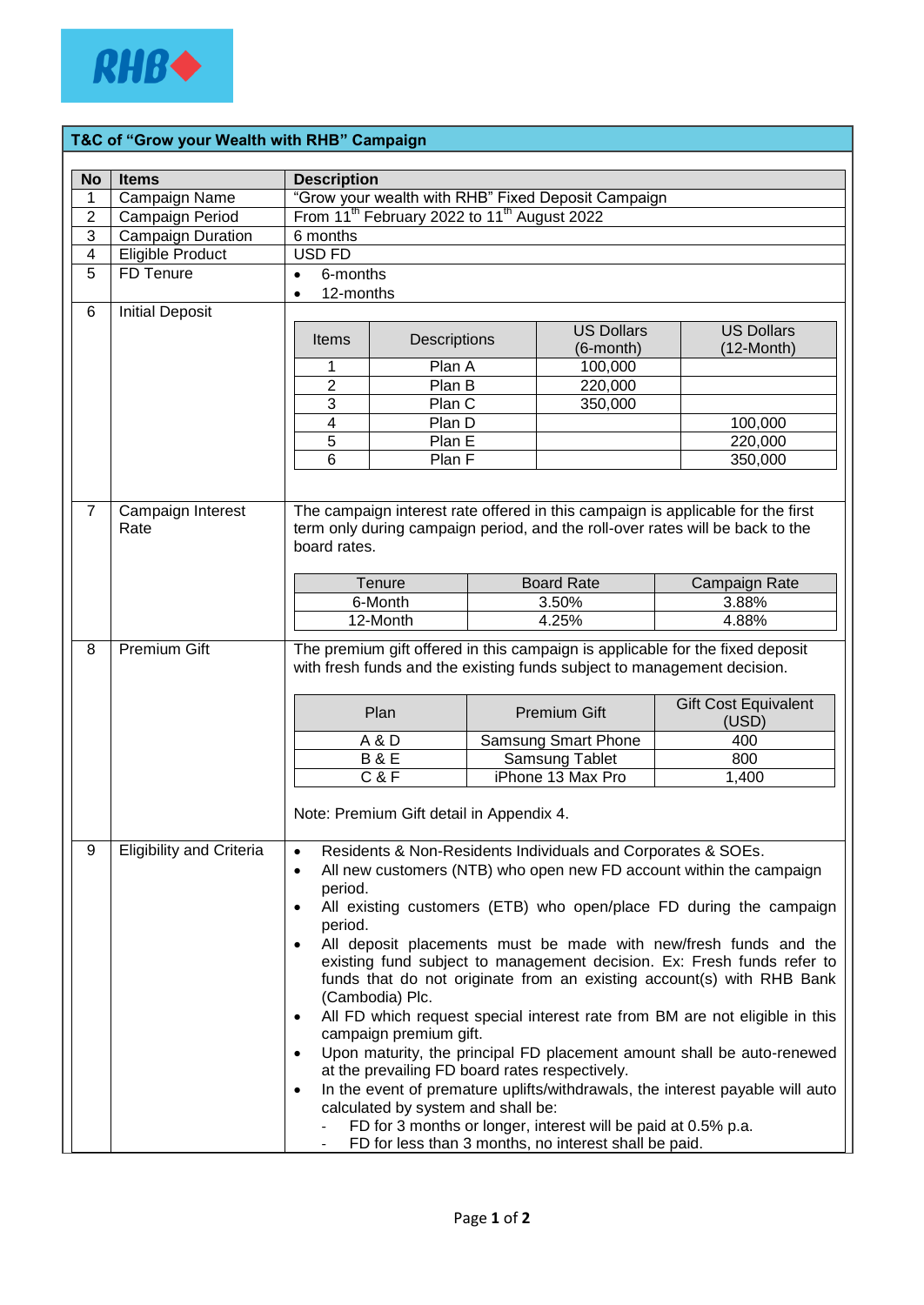

## **T&C of "Grow your Wealth with RHB" Campaign**

|                         | <b>Items</b>                             |                                                                                                                                                                                                                                                                                                                                                                                                                                                                                                                                                                                                                                                                                                                                                                                                                                                                                                                                                                                           |              |  |                                |                                           |  |
|-------------------------|------------------------------------------|-------------------------------------------------------------------------------------------------------------------------------------------------------------------------------------------------------------------------------------------------------------------------------------------------------------------------------------------------------------------------------------------------------------------------------------------------------------------------------------------------------------------------------------------------------------------------------------------------------------------------------------------------------------------------------------------------------------------------------------------------------------------------------------------------------------------------------------------------------------------------------------------------------------------------------------------------------------------------------------------|--------------|--|--------------------------------|-------------------------------------------|--|
| <b>No</b><br>1          | Campaign Name                            | <b>Description</b>                                                                                                                                                                                                                                                                                                                                                                                                                                                                                                                                                                                                                                                                                                                                                                                                                                                                                                                                                                        |              |  |                                |                                           |  |
| $\overline{c}$          | Campaign Period                          | "Grow your wealth with RHB" Fixed Deposit Campaign<br>From 11 <sup>th</sup> February 2022 to 11 <sup>th</sup> August 2022                                                                                                                                                                                                                                                                                                                                                                                                                                                                                                                                                                                                                                                                                                                                                                                                                                                                 |              |  |                                |                                           |  |
| $\overline{3}$          | <b>Campaign Duration</b>                 | 6 months                                                                                                                                                                                                                                                                                                                                                                                                                                                                                                                                                                                                                                                                                                                                                                                                                                                                                                                                                                                  |              |  |                                |                                           |  |
| $\overline{\mathbf{4}}$ | Eligible Product                         | <b>USD FD</b>                                                                                                                                                                                                                                                                                                                                                                                                                                                                                                                                                                                                                                                                                                                                                                                                                                                                                                                                                                             |              |  |                                |                                           |  |
| 5                       | FD Tenure                                | 6-months<br>$\bullet$                                                                                                                                                                                                                                                                                                                                                                                                                                                                                                                                                                                                                                                                                                                                                                                                                                                                                                                                                                     |              |  |                                |                                           |  |
|                         |                                          | 12-months<br>$\bullet$                                                                                                                                                                                                                                                                                                                                                                                                                                                                                                                                                                                                                                                                                                                                                                                                                                                                                                                                                                    |              |  |                                |                                           |  |
| 6                       | <b>Initial Deposit</b>                   |                                                                                                                                                                                                                                                                                                                                                                                                                                                                                                                                                                                                                                                                                                                                                                                                                                                                                                                                                                                           |              |  |                                |                                           |  |
|                         |                                          | <b>Items</b>                                                                                                                                                                                                                                                                                                                                                                                                                                                                                                                                                                                                                                                                                                                                                                                                                                                                                                                                                                              | Descriptions |  | <b>US Dollars</b><br>(6-month) | <b>US Dollars</b><br>$(12 \text{-Month})$ |  |
|                         |                                          | 1                                                                                                                                                                                                                                                                                                                                                                                                                                                                                                                                                                                                                                                                                                                                                                                                                                                                                                                                                                                         | Plan A       |  | 100,000                        |                                           |  |
|                         |                                          | $\overline{2}$                                                                                                                                                                                                                                                                                                                                                                                                                                                                                                                                                                                                                                                                                                                                                                                                                                                                                                                                                                            | Plan B       |  | 220,000                        |                                           |  |
|                         |                                          | 3                                                                                                                                                                                                                                                                                                                                                                                                                                                                                                                                                                                                                                                                                                                                                                                                                                                                                                                                                                                         | Plan C       |  | 350,000                        |                                           |  |
|                         |                                          | 4                                                                                                                                                                                                                                                                                                                                                                                                                                                                                                                                                                                                                                                                                                                                                                                                                                                                                                                                                                                         | Plan D       |  |                                | 100,000                                   |  |
|                         |                                          | 5                                                                                                                                                                                                                                                                                                                                                                                                                                                                                                                                                                                                                                                                                                                                                                                                                                                                                                                                                                                         | Plan E       |  |                                | 220,000                                   |  |
|                         |                                          | 6                                                                                                                                                                                                                                                                                                                                                                                                                                                                                                                                                                                                                                                                                                                                                                                                                                                                                                                                                                                         | Plan F       |  |                                | 350,000                                   |  |
|                         |                                          |                                                                                                                                                                                                                                                                                                                                                                                                                                                                                                                                                                                                                                                                                                                                                                                                                                                                                                                                                                                           |              |  |                                |                                           |  |
| $\overline{7}$          | Campaign Interest<br>Rate                | The campaign interest rate offered in this campaign is applicable for the first<br>term only during campaign period, and the roll-over rates will be back to the<br>board rates.                                                                                                                                                                                                                                                                                                                                                                                                                                                                                                                                                                                                                                                                                                                                                                                                          |              |  |                                |                                           |  |
|                         |                                          |                                                                                                                                                                                                                                                                                                                                                                                                                                                                                                                                                                                                                                                                                                                                                                                                                                                                                                                                                                                           | Tenure       |  | <b>Board Rate</b>              | Campaign Rate                             |  |
|                         |                                          |                                                                                                                                                                                                                                                                                                                                                                                                                                                                                                                                                                                                                                                                                                                                                                                                                                                                                                                                                                                           | 6-Month      |  | 3.50%                          | 3.88%                                     |  |
|                         |                                          |                                                                                                                                                                                                                                                                                                                                                                                                                                                                                                                                                                                                                                                                                                                                                                                                                                                                                                                                                                                           | 12-Month     |  | 4.25%                          | 4.88%                                     |  |
| 8                       | <b>Premium Gift</b>                      | The premium gift offered in this campaign is applicable for the fixed deposit<br>with fresh funds and the existing funds subject to management decision.<br><b>Gift Cost Equivalent</b><br>Plan<br><b>Premium Gift</b>                                                                                                                                                                                                                                                                                                                                                                                                                                                                                                                                                                                                                                                                                                                                                                    |              |  |                                |                                           |  |
|                         |                                          |                                                                                                                                                                                                                                                                                                                                                                                                                                                                                                                                                                                                                                                                                                                                                                                                                                                                                                                                                                                           |              |  | Samsung Smart Phone            | (USD)<br>400                              |  |
|                         |                                          | A&D                                                                                                                                                                                                                                                                                                                                                                                                                                                                                                                                                                                                                                                                                                                                                                                                                                                                                                                                                                                       |              |  | Samsung Tablet                 | 800                                       |  |
|                         |                                          | <b>B&amp;E</b><br>C & F                                                                                                                                                                                                                                                                                                                                                                                                                                                                                                                                                                                                                                                                                                                                                                                                                                                                                                                                                                   |              |  | iPhone 13 Max Pro              | 1,400                                     |  |
|                         | Note: Premium Gift detail in Appendix 4. |                                                                                                                                                                                                                                                                                                                                                                                                                                                                                                                                                                                                                                                                                                                                                                                                                                                                                                                                                                                           |              |  |                                |                                           |  |
| 9                       | <b>Eligibility and Criteria</b>          | Residents & Non-Residents Individuals and Corporates & SOEs.<br>All new customers (NTB) who open new FD account within the campaign<br>period.<br>All existing customers (ETB) who open/place FD during the campaign<br>period.<br>All deposit placements must be made with new/fresh funds and the<br>existing fund subject to management decision. Ex: Fresh funds refer to<br>funds that do not originate from an existing account(s) with RHB Bank<br>(Cambodia) Plc.<br>All FD which request special interest rate from BM are not eligible in this<br>$\bullet$<br>campaign premium gift.<br>Upon maturity, the principal FD placement amount shall be auto-renewed<br>$\bullet$<br>at the prevailing FD board rates respectively.<br>In the event of premature uplifts/withdrawals, the interest payable will auto<br>calculated by system and shall be:<br>FD for 3 months or longer, interest will be paid at 0.5% p.a.<br>FD for less than 3 months, no interest shall be paid. |              |  |                                |                                           |  |